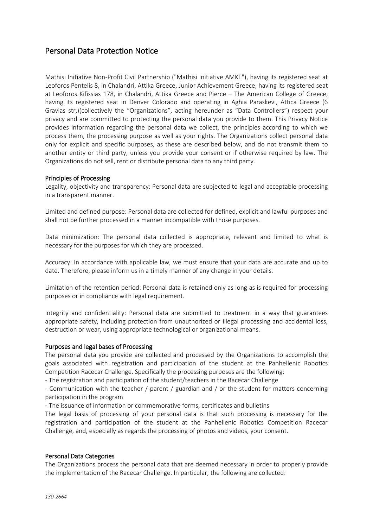# Personal Data Protection Notice

Mathisi Initiative Non-Profit Civil Partnership ("Mathisi Initiative AMKE"), having its registered seat at Leoforos Pentelis 8, in Chalandri, Attika Greece, Junior Achievement Greece, having its registered seat at Leoforos Kifissias 178, in Chalandri, Attika Greece and Pierce – The American College of Greece, having its registered seat in Denver Colorado and operating in Aghia Paraskevi, Attica Greece (6 Gravias str,)(collectively the "Organizations", acting hereunder as "Data Controllers") respect your privacy and are committed to protecting the personal data you provide to them. This Privacy Notice provides information regarding the personal data we collect, the principles according to which we process them, the processing purpose as well as your rights. The Organizations collect personal data only for explicit and specific purposes, as these are described below, and do not transmit them to another entity or third party, unless you provide your consent or if otherwise required by law. The Organizations do not sell, rent or distribute personal data to any third party.

#### Principles of Processing

Legality, objectivity and transparency: Personal data are subjected to legal and acceptable processing in a transparent manner.

Limited and defined purpose: Personal data are collected for defined, explicit and lawful purposes and shall not be further processed in a manner incompatible with those purposes.

Data minimization: The personal data collected is appropriate, relevant and limited to what is necessary for the purposes for which they are processed.

Accuracy: In accordance with applicable law, we must ensure that your data are accurate and up to date. Therefore, please inform us in a timely manner of any change in your details.

Limitation of the retention period: Personal data is retained only as long as is required for processing purposes or in compliance with legal requirement.

Integrity and confidentiality: Personal data are submitted to treatment in a way that guarantees appropriate safety, including protection from unauthorized or illegal processing and accidental loss, destruction or wear, using appropriate technological or organizational means.

#### Purposes and legal bases of Processing

The personal data you provide are collected and processed by the Organizations to accomplish the goals associated with registration and participation of the student at the Panhellenic Robotics Competition Racecar Challenge. Specifically the processing purposes are the following:

- The registration and participation of the student/teachers in the Racecar Challenge

- Communication with the teacher / parent / guardian and / or the student for matters concerning participation in the program

- The issuance of information or commemorative forms, certificates and bulletins

The legal basis of processing of your personal data is that such processing is necessary for the registration and participation of the student at the Panhellenic Robotics Competition Racecar Challenge, and, especially as regards the processing of photos and videos, your consent.

#### Personal Data Categories

The Organizations process the personal data that are deemed necessary in order to properly provide the implementation of the Racecar Challenge. In particular, the following are collected: